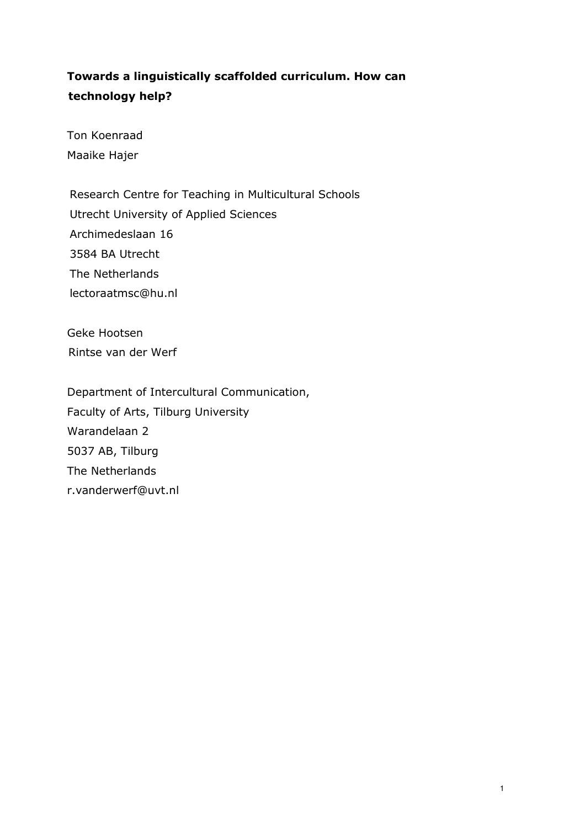# Towards a linguistically scaffolded curriculum. How can technology help?

Ton Koenraad Maaike Hajer

Research Centre for Teaching in Multicultural Schools Utrecht University of Applied Sciences Archimedeslaan 16 3584 BA Utrecht The Netherlands lectoraatmsc@hu.nl

Geke Hootsen Rintse van der Werf

Department of Intercultural Communication, Faculty of Arts, Tilburg University Warandelaan 2 5037 AB, Tilburg The Netherlands r.vanderwerf@uvt.nl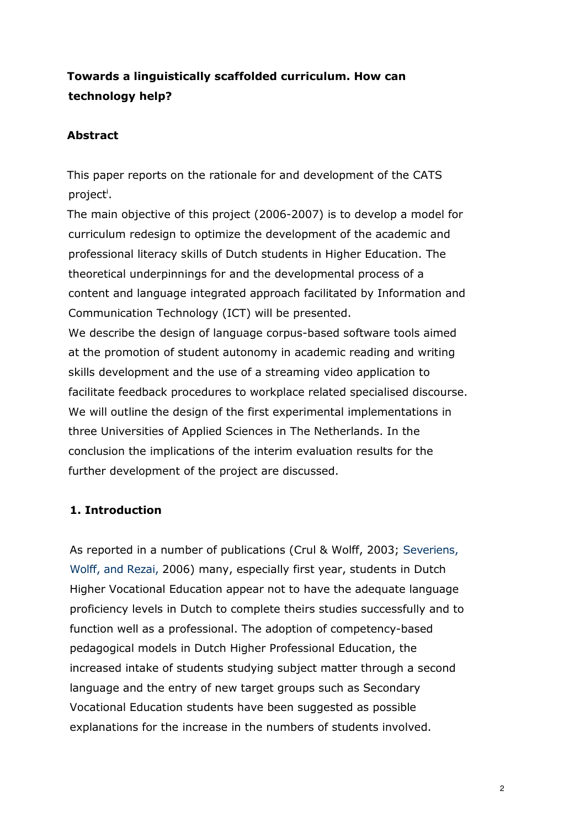# Towards a linguistically scaffolded curriculum. How can technology help?

## Abstract

This paper reports on the rationale for and development of the CATS project<sup>i</sup>.

The main objective of this project (2006-2007) is to develop a model for curriculum redesign to optimize the development of the academic and professional literacy skills of Dutch students in Higher Education. The theoretical underpinnings for and the developmental process of a content and language integrated approach facilitated by Information and Communication Technology (ICT) will be presented. We describe the design of language corpus-based software tools aimed at the promotion of student autonomy in academic reading and writing skills development and the use of a streaming video application to facilitate feedback procedures to workplace related specialised discourse. We will outline the design of the first experimental implementations in three Universities of Applied Sciences in The Netherlands. In the

# conclusion the implications of the interim evaluation results for the further development of the project are discussed.

# 1. Introduction

As reported in a number of publications (Crul & Wolff, 2003; Severiens, Wolff, and Rezai, 2006) many, especially first year, students in Dutch Higher Vocational Education appear not to have the adequate language proficiency levels in Dutch to complete theirs studies successfully and to function well as a professional. The adoption of competency-based pedagogical models in Dutch Higher Professional Education, the increased intake of students studying subject matter through a second language and the entry of new target groups such as Secondary Vocational Education students have been suggested as possible explanations for the increase in the numbers of students involved.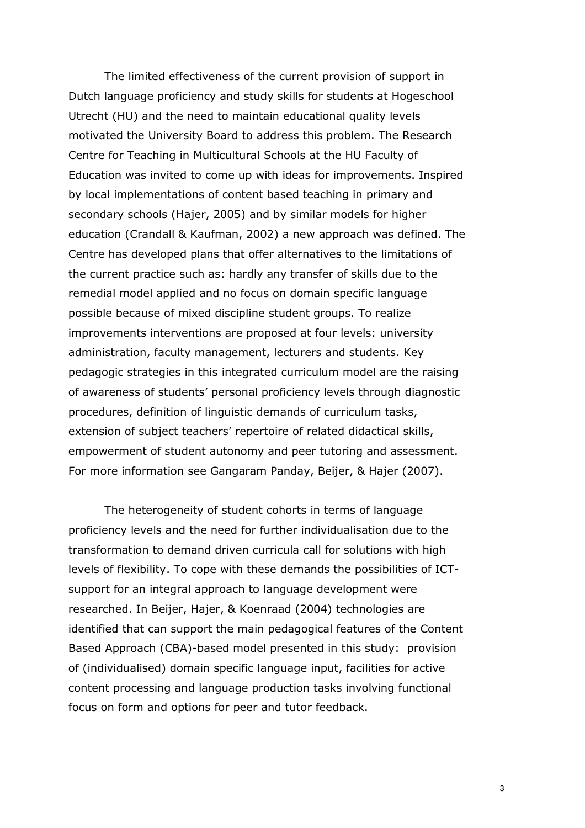The limited effectiveness of the current provision of support in Dutch language proficiency and study skills for students at Hogeschool Utrecht (HU) and the need to maintain educational quality levels motivated the University Board to address this problem. The Research Centre for Teaching in Multicultural Schools at the HU Faculty of Education was invited to come up with ideas for improvements. Inspired by local implementations of content based teaching in primary and secondary schools (Hajer, 2005) and by similar models for higher education (Crandall & Kaufman, 2002) a new approach was defined. The Centre has developed plans that offer alternatives to the limitations of the current practice such as: hardly any transfer of skills due to the remedial model applied and no focus on domain specific language possible because of mixed discipline student groups. To realize improvements interventions are proposed at four levels: university administration, faculty management, lecturers and students. Key pedagogic strategies in this integrated curriculum model are the raising of awareness of students' personal proficiency levels through diagnostic procedures, definition of linguistic demands of curriculum tasks, extension of subject teachers' repertoire of related didactical skills, empowerment of student autonomy and peer tutoring and assessment. For more information see Gangaram Panday, Beijer, & Hajer (2007).

The heterogeneity of student cohorts in terms of language proficiency levels and the need for further individualisation due to the transformation to demand driven curricula call for solutions with high levels of flexibility. To cope with these demands the possibilities of ICTsupport for an integral approach to language development were researched. In Beijer, Hajer, & Koenraad (2004) technologies are identified that can support the main pedagogical features of the Content Based Approach (CBA)-based model presented in this study: provision of (individualised) domain specific language input, facilities for active content processing and language production tasks involving functional focus on form and options for peer and tutor feedback.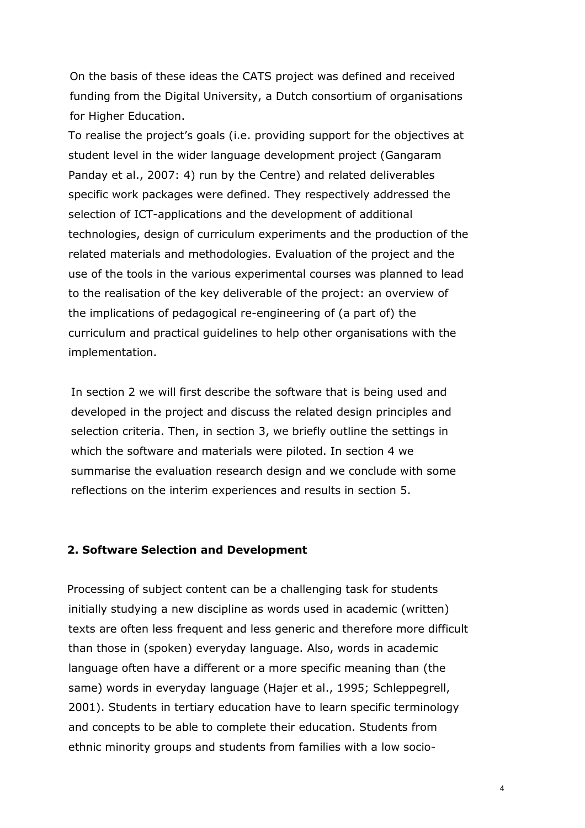On the basis of these ideas the CATS project was defined and received funding from the Digital University, a Dutch consortium of organisations for Higher Education.

To realise the project's goals (i.e. providing support for the objectives at student level in the wider language development project (Gangaram Panday et al., 2007: 4) run by the Centre) and related deliverables specific work packages were defined. They respectively addressed the selection of ICT-applications and the development of additional technologies, design of curriculum experiments and the production of the related materials and methodologies. Evaluation of the project and the use of the tools in the various experimental courses was planned to lead to the realisation of the key deliverable of the project: an overview of the implications of pedagogical re-engineering of (a part of) the curriculum and practical guidelines to help other organisations with the implementation.

In section 2 we will first describe the software that is being used and developed in the project and discuss the related design principles and selection criteria. Then, in section 3, we briefly outline the settings in which the software and materials were piloted. In section 4 we summarise the evaluation research design and we conclude with some reflections on the interim experiences and results in section 5.

#### 2. Software Selection and Development

Processing of subject content can be a challenging task for students initially studying a new discipline as words used in academic (written) texts are often less frequent and less generic and therefore more difficult than those in (spoken) everyday language. Also, words in academic language often have a different or a more specific meaning than (the same) words in everyday language (Hajer et al., 1995; Schleppegrell, 2001). Students in tertiary education have to learn specific terminology and concepts to be able to complete their education. Students from ethnic minority groups and students from families with a low socio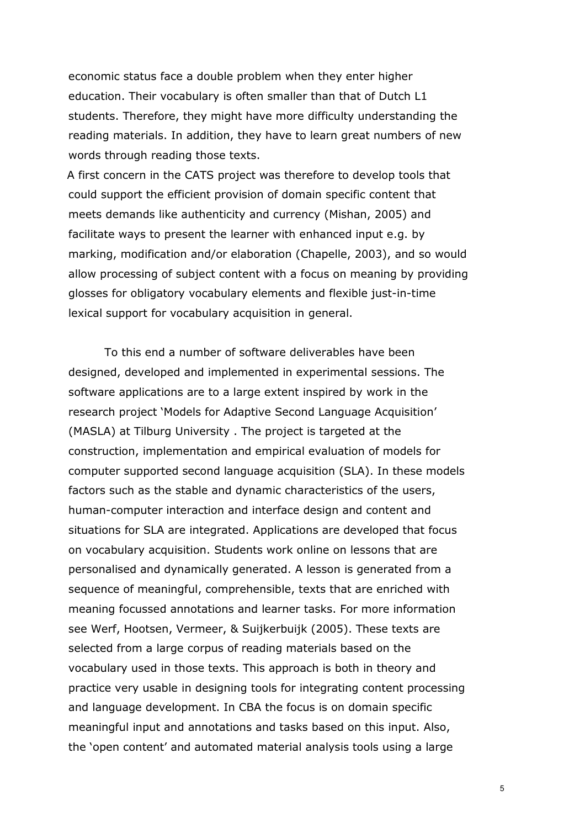economic status face a double problem when they enter higher education. Their vocabulary is often smaller than that of Dutch L1 students. Therefore, they might have more difficulty understanding the reading materials. In addition, they have to learn great numbers of new words through reading those texts.

A first concern in the CATS project was therefore to develop tools that could support the efficient provision of domain specific content that meets demands like authenticity and currency (Mishan, 2005) and facilitate ways to present the learner with enhanced input e.g. by marking, modification and/or elaboration (Chapelle, 2003), and so would allow processing of subject content with a focus on meaning by providing glosses for obligatory vocabulary elements and flexible just-in-time lexical support for vocabulary acquisition in general.

To this end a number of software deliverables have been designed, developed and implemented in experimental sessions. The software applications are to a large extent inspired by work in the research project 'Models for Adaptive Second Language Acquisition' (MASLA) at Tilburg University . The project is targeted at the construction, implementation and empirical evaluation of models for computer supported second language acquisition (SLA). In these models factors such as the stable and dynamic characteristics of the users, human-computer interaction and interface design and content and situations for SLA are integrated. Applications are developed that focus on vocabulary acquisition. Students work online on lessons that are personalised and dynamically generated. A lesson is generated from a sequence of meaningful, comprehensible, texts that are enriched with meaning focussed annotations and learner tasks. For more information see Werf, Hootsen, Vermeer, & Suijkerbuijk (2005). These texts are selected from a large corpus of reading materials based on the vocabulary used in those texts. This approach is both in theory and practice very usable in designing tools for integrating content processing and language development. In CBA the focus is on domain specific meaningful input and annotations and tasks based on this input. Also, the 'open content' and automated material analysis tools using a large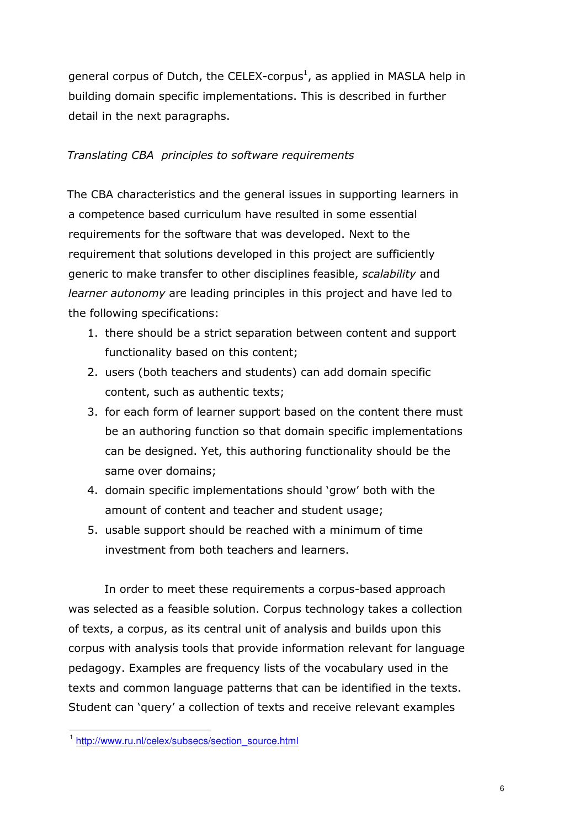general corpus of Dutch, the CELEX-corpus<sup>1</sup>, as applied in MASLA help in building domain specific implementations. This is described in further detail in the next paragraphs.

### Translating CBA principles to software requirements

The CBA characteristics and the general issues in supporting learners in a competence based curriculum have resulted in some essential requirements for the software that was developed. Next to the requirement that solutions developed in this project are sufficiently generic to make transfer to other disciplines feasible, scalability and learner autonomy are leading principles in this project and have led to the following specifications:

- 1. there should be a strict separation between content and support functionality based on this content;
- 2. users (both teachers and students) can add domain specific content, such as authentic texts;
- 3. for each form of learner support based on the content there must be an authoring function so that domain specific implementations can be designed. Yet, this authoring functionality should be the same over domains;
- 4. domain specific implementations should 'grow' both with the amount of content and teacher and student usage;
- 5. usable support should be reached with a minimum of time investment from both teachers and learners.

In order to meet these requirements a corpus-based approach was selected as a feasible solution. Corpus technology takes a collection of texts, a corpus, as its central unit of analysis and builds upon this corpus with analysis tools that provide information relevant for language pedagogy. Examples are frequency lists of the vocabulary used in the texts and common language patterns that can be identified in the texts. Student can 'query' a collection of texts and receive relevant examples

<sup>1&</sup>lt;br>1 http://www.ru.nl/celex/subsecs/section\_source.html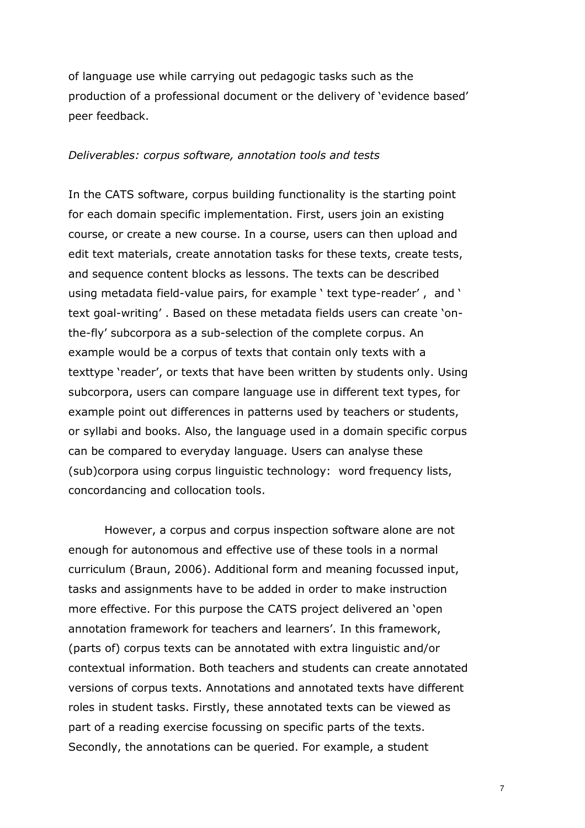of language use while carrying out pedagogic tasks such as the production of a professional document or the delivery of 'evidence based' peer feedback.

#### Deliverables: corpus software, annotation tools and tests

In the CATS software, corpus building functionality is the starting point for each domain specific implementation. First, users join an existing course, or create a new course. In a course, users can then upload and edit text materials, create annotation tasks for these texts, create tests, and sequence content blocks as lessons. The texts can be described using metadata field-value pairs, for example ' text type-reader' , and ' text goal-writing' . Based on these metadata fields users can create 'onthe-fly' subcorpora as a sub-selection of the complete corpus. An example would be a corpus of texts that contain only texts with a texttype 'reader', or texts that have been written by students only. Using subcorpora, users can compare language use in different text types, for example point out differences in patterns used by teachers or students, or syllabi and books. Also, the language used in a domain specific corpus can be compared to everyday language. Users can analyse these (sub)corpora using corpus linguistic technology: word frequency lists, concordancing and collocation tools.

However, a corpus and corpus inspection software alone are not enough for autonomous and effective use of these tools in a normal curriculum (Braun, 2006). Additional form and meaning focussed input, tasks and assignments have to be added in order to make instruction more effective. For this purpose the CATS project delivered an 'open annotation framework for teachers and learners'. In this framework, (parts of) corpus texts can be annotated with extra linguistic and/or contextual information. Both teachers and students can create annotated versions of corpus texts. Annotations and annotated texts have different roles in student tasks. Firstly, these annotated texts can be viewed as part of a reading exercise focussing on specific parts of the texts. Secondly, the annotations can be queried. For example, a student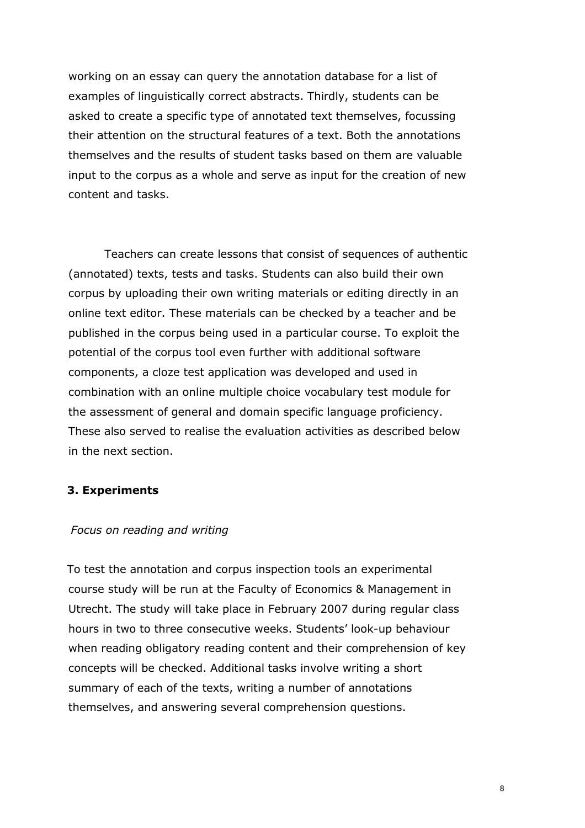working on an essay can query the annotation database for a list of examples of linguistically correct abstracts. Thirdly, students can be asked to create a specific type of annotated text themselves, focussing their attention on the structural features of a text. Both the annotations themselves and the results of student tasks based on them are valuable input to the corpus as a whole and serve as input for the creation of new content and tasks.

Teachers can create lessons that consist of sequences of authentic (annotated) texts, tests and tasks. Students can also build their own corpus by uploading their own writing materials or editing directly in an online text editor. These materials can be checked by a teacher and be published in the corpus being used in a particular course. To exploit the potential of the corpus tool even further with additional software components, a cloze test application was developed and used in combination with an online multiple choice vocabulary test module for the assessment of general and domain specific language proficiency. These also served to realise the evaluation activities as described below in the next section.

#### 3. Experiments

#### Focus on reading and writing

To test the annotation and corpus inspection tools an experimental course study will be run at the Faculty of Economics & Management in Utrecht. The study will take place in February 2007 during regular class hours in two to three consecutive weeks. Students' look-up behaviour when reading obligatory reading content and their comprehension of key concepts will be checked. Additional tasks involve writing a short summary of each of the texts, writing a number of annotations themselves, and answering several comprehension questions.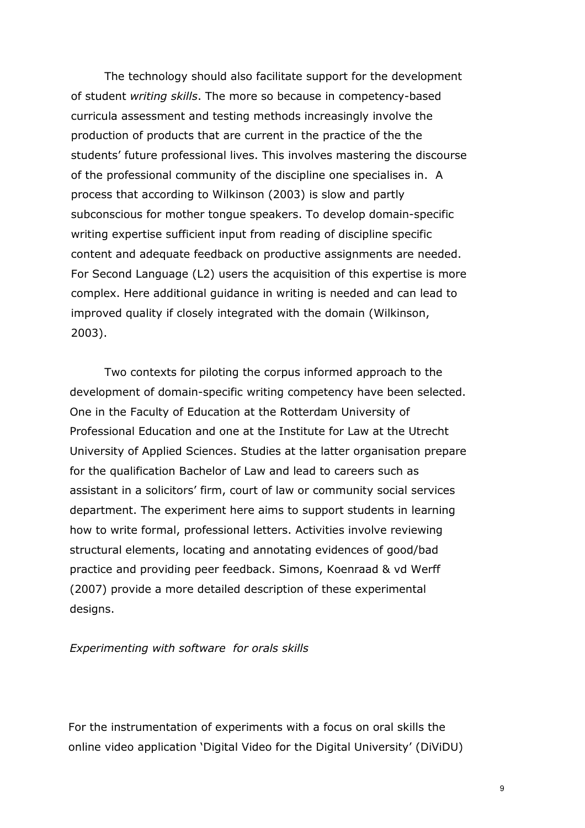The technology should also facilitate support for the development of student writing skills. The more so because in competency-based curricula assessment and testing methods increasingly involve the production of products that are current in the practice of the the students' future professional lives. This involves mastering the discourse of the professional community of the discipline one specialises in. A process that according to Wilkinson (2003) is slow and partly subconscious for mother tongue speakers. To develop domain-specific writing expertise sufficient input from reading of discipline specific content and adequate feedback on productive assignments are needed. For Second Language (L2) users the acquisition of this expertise is more complex. Here additional guidance in writing is needed and can lead to improved quality if closely integrated with the domain (Wilkinson, 2003).

Two contexts for piloting the corpus informed approach to the development of domain-specific writing competency have been selected. One in the Faculty of Education at the Rotterdam University of Professional Education and one at the Institute for Law at the Utrecht University of Applied Sciences. Studies at the latter organisation prepare for the qualification Bachelor of Law and lead to careers such as assistant in a solicitors' firm, court of law or community social services department. The experiment here aims to support students in learning how to write formal, professional letters. Activities involve reviewing structural elements, locating and annotating evidences of good/bad practice and providing peer feedback. Simons, Koenraad & vd Werff (2007) provide a more detailed description of these experimental desians.

#### Experimenting with software for orals skills

For the instrumentation of experiments with a focus on oral skills the online video application 'Digital Video for the Digital University' (DiViDU)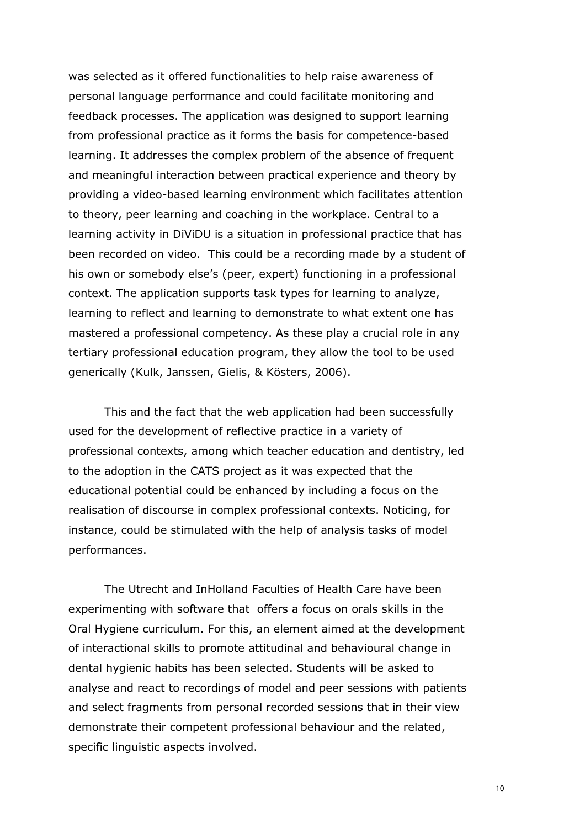was selected as it offered functionalities to help raise awareness of personal language performance and could facilitate monitoring and feedback processes. The application was designed to support learning from professional practice as it forms the basis for competence-based learning. It addresses the complex problem of the absence of frequent and meaningful interaction between practical experience and theory by providing a video-based learning environment which facilitates attention to theory, peer learning and coaching in the workplace. Central to a learning activity in DiViDU is a situation in professional practice that has been recorded on video. This could be a recording made by a student of his own or somebody else's (peer, expert) functioning in a professional context. The application supports task types for learning to analyze, learning to reflect and learning to demonstrate to what extent one has mastered a professional competency. As these play a crucial role in any tertiary professional education program, they allow the tool to be used generically (Kulk, Janssen, Gielis, & Kösters, 2006).

This and the fact that the web application had been successfully used for the development of reflective practice in a variety of professional contexts, among which teacher education and dentistry, led to the adoption in the CATS project as it was expected that the educational potential could be enhanced by including a focus on the realisation of discourse in complex professional contexts. Noticing, for instance, could be stimulated with the help of analysis tasks of model performances.

The Utrecht and InHolland Faculties of Health Care have been experimenting with software that offers a focus on orals skills in the Oral Hygiene curriculum. For this, an element aimed at the development of interactional skills to promote attitudinal and behavioural change in dental hygienic habits has been selected. Students will be asked to analyse and react to recordings of model and peer sessions with patients and select fragments from personal recorded sessions that in their view demonstrate their competent professional behaviour and the related, specific linguistic aspects involved.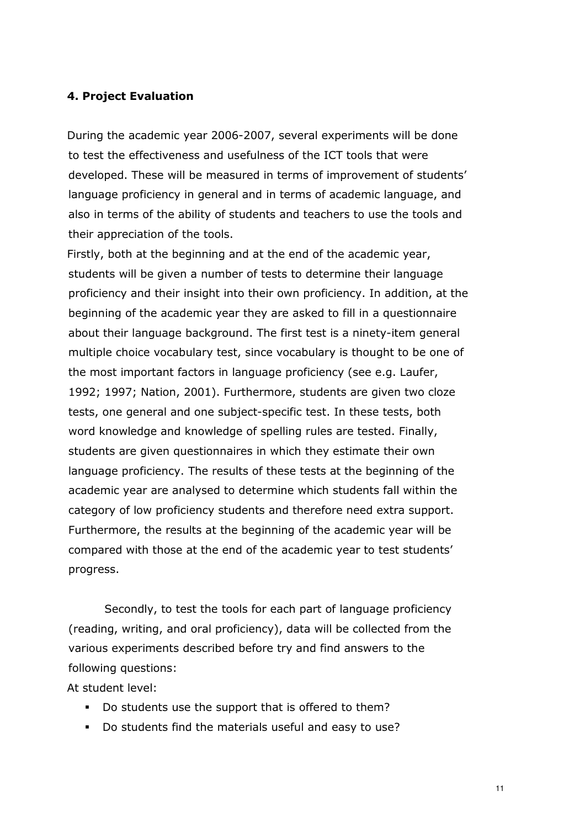#### 4. Project Evaluation

During the academic year 2006-2007, several experiments will be done to test the effectiveness and usefulness of the ICT tools that were developed. These will be measured in terms of improvement of students' language proficiency in general and in terms of academic language, and also in terms of the ability of students and teachers to use the tools and their appreciation of the tools.

Firstly, both at the beginning and at the end of the academic year, students will be given a number of tests to determine their language proficiency and their insight into their own proficiency. In addition, at the beginning of the academic year they are asked to fill in a questionnaire about their language background. The first test is a ninety-item general multiple choice vocabulary test, since vocabulary is thought to be one of the most important factors in language proficiency (see e.g. Laufer, 1992; 1997; Nation, 2001). Furthermore, students are given two cloze tests, one general and one subject-specific test. In these tests, both word knowledge and knowledge of spelling rules are tested. Finally, students are given questionnaires in which they estimate their own language proficiency. The results of these tests at the beginning of the academic year are analysed to determine which students fall within the category of low proficiency students and therefore need extra support. Furthermore, the results at the beginning of the academic year will be compared with those at the end of the academic year to test students' progress.

Secondly, to test the tools for each part of language proficiency (reading, writing, and oral proficiency), data will be collected from the various experiments described before try and find answers to the following questions:

At student level:

- Do students use the support that is offered to them?
- Do students find the materials useful and easy to use?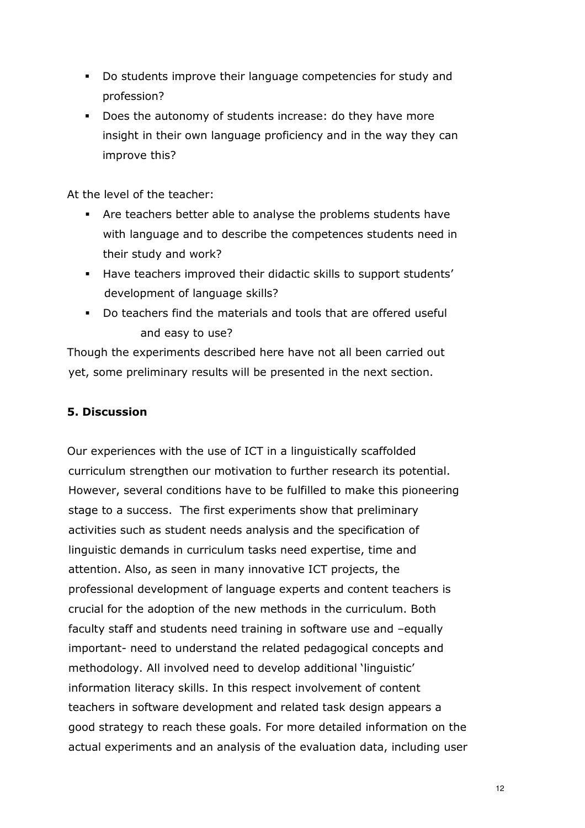- Do students improve their language competencies for study and profession?
- Does the autonomy of students increase: do they have more insight in their own language proficiency and in the way they can improve this?

At the level of the teacher:

- Are teachers better able to analyse the problems students have with language and to describe the competences students need in their study and work?
- Have teachers improved their didactic skills to support students' development of language skills?
- Do teachers find the materials and tools that are offered useful and easy to use?

Though the experiments described here have not all been carried out yet, some preliminary results will be presented in the next section.

## 5. Discussion

Our experiences with the use of ICT in a linguistically scaffolded curriculum strengthen our motivation to further research its potential. However, several conditions have to be fulfilled to make this pioneering stage to a success. The first experiments show that preliminary activities such as student needs analysis and the specification of linguistic demands in curriculum tasks need expertise, time and attention. Also, as seen in many innovative ICT projects, the professional development of language experts and content teachers is crucial for the adoption of the new methods in the curriculum. Both faculty staff and students need training in software use and –equally important- need to understand the related pedagogical concepts and methodology. All involved need to develop additional 'linguistic' information literacy skills. In this respect involvement of content teachers in software development and related task design appears a good strategy to reach these goals. For more detailed information on the actual experiments and an analysis of the evaluation data, including user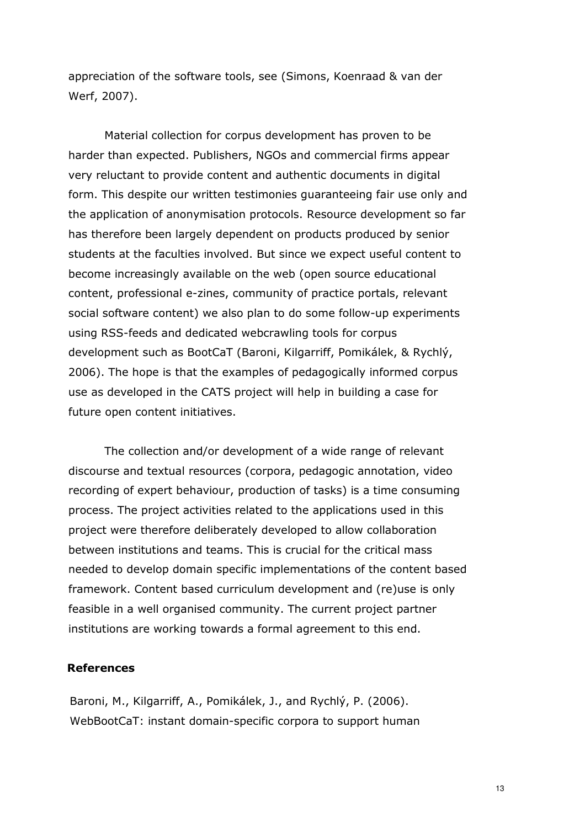appreciation of the software tools, see (Simons, Koenraad & van der Werf, 2007).

Material collection for corpus development has proven to be harder than expected. Publishers, NGOs and commercial firms appear very reluctant to provide content and authentic documents in digital form. This despite our written testimonies guaranteeing fair use only and the application of anonymisation protocols. Resource development so far has therefore been largely dependent on products produced by senior students at the faculties involved. But since we expect useful content to become increasingly available on the web (open source educational content, professional e-zines, community of practice portals, relevant social software content) we also plan to do some follow-up experiments using RSS-feeds and dedicated webcrawling tools for corpus development such as BootCaT (Baroni, Kilgarriff, Pomikálek, & Rychlý, 2006). The hope is that the examples of pedagogically informed corpus use as developed in the CATS project will help in building a case for future open content initiatives.

The collection and/or development of a wide range of relevant discourse and textual resources (corpora, pedagogic annotation, video recording of expert behaviour, production of tasks) is a time consuming process. The project activities related to the applications used in this project were therefore deliberately developed to allow collaboration between institutions and teams. This is crucial for the critical mass needed to develop domain specific implementations of the content based framework. Content based curriculum development and (re)use is only feasible in a well organised community. The current project partner institutions are working towards a formal agreement to this end.

#### References

Baroni, M., Kilgarriff, A., Pomikálek, J., and Rychlý, P. (2006). WebBootCaT: instant domain-specific corpora to support human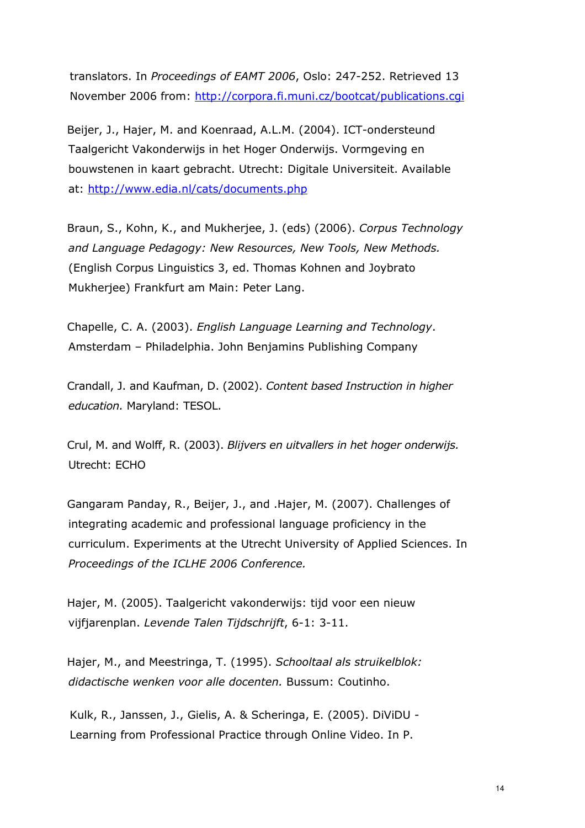translators. In Proceedings of EAMT 2006, Oslo: 247-252. Retrieved 13 November 2006 from: http://corpora.fi.muni.cz/bootcat/publications.cgi

Beijer, J., Hajer, M. and Koenraad, A.L.M. (2004). ICT-ondersteund Taalgericht Vakonderwijs in het Hoger Onderwijs. Vormgeving en bouwstenen in kaart gebracht. Utrecht: Digitale Universiteit. Available at: http://www.edia.nl/cats/documents.php

Braun, S., Kohn, K., and Mukherjee, J. (eds) (2006). Corpus Technology and Language Pedagogy: New Resources, New Tools, New Methods. (English Corpus Linguistics 3, ed. Thomas Kohnen and Joybrato Mukherjee) Frankfurt am Main: Peter Lang.

Chapelle, C. A. (2003). English Language Learning and Technology. Amsterdam – Philadelphia. John Benjamins Publishing Company

Crandall, J. and Kaufman, D. (2002). Content based Instruction in higher education. Maryland: TESOL.

Crul, M. and Wolff, R. (2003). Blijvers en uitvallers in het hoger onderwijs. Utrecht: ECHO

Gangaram Panday, R., Beijer, J., and .Hajer, M. (2007). Challenges of integrating academic and professional language proficiency in the curriculum. Experiments at the Utrecht University of Applied Sciences. In Proceedings of the ICLHE 2006 Conference.

Hajer, M. (2005). Taalgericht vakonderwijs: tijd voor een nieuw vijfjarenplan. Levende Talen Tijdschrijft, 6-1: 3-11.

Hajer, M., and Meestringa, T. (1995). Schooltaal als struikelblok: didactische wenken voor alle docenten. Bussum: Coutinho.

Kulk, R., Janssen, J., Gielis, A. & Scheringa, E. (2005). DiViDU - Learning from Professional Practice through Online Video. In P.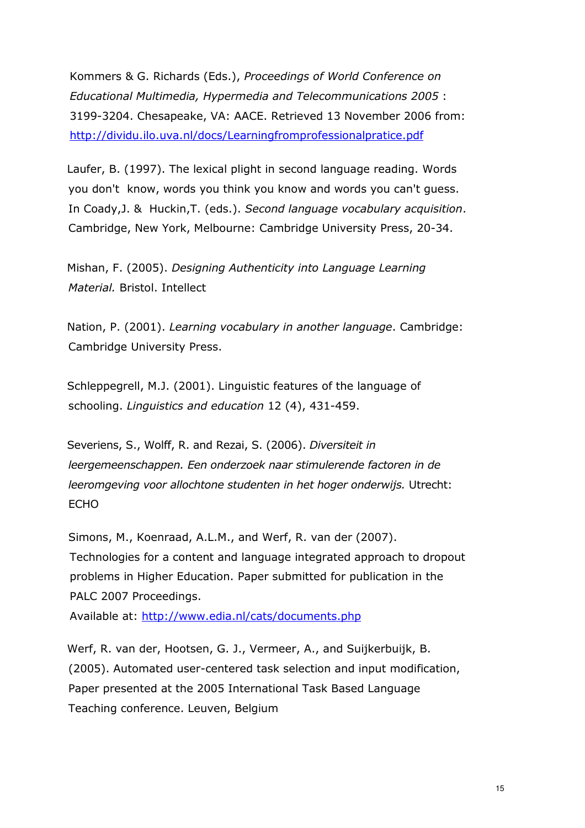Kommers & G. Richards (Eds.), Proceedings of World Conference on Educational Multimedia, Hypermedia and Telecommunications 2005 : 3199-3204. Chesapeake, VA: AACE. Retrieved 13 November 2006 from: http://dividu.ilo.uva.nl/docs/Learningfromprofessionalpratice.pdf

Laufer, B. (1997). The lexical plight in second language reading. Words you don't know, words you think you know and words you can't guess. In Coady,J. & Huckin,T. (eds.). Second language vocabulary acquisition. Cambridge, New York, Melbourne: Cambridge University Press, 20-34.

Mishan, F. (2005). Designing Authenticity into Language Learning Material. Bristol. Intellect

Nation, P. (2001). Learning vocabulary in another language. Cambridge: Cambridge University Press.

Schleppegrell, M.J. (2001). Linguistic features of the language of schooling. Linguistics and education 12 (4), 431-459.

Severiens, S., Wolff, R. and Rezai, S. (2006). Diversiteit in leergemeenschappen. Een onderzoek naar stimulerende factoren in de leeromgeving voor allochtone studenten in het hoger onderwijs. Utrecht: ECHO

Simons, M., Koenraad, A.L.M., and Werf, R. van der (2007). Technologies for a content and language integrated approach to dropout problems in Higher Education. Paper submitted for publication in the PALC 2007 Proceedings.

Available at: http://www.edia.nl/cats/documents.php

Werf, R. van der, Hootsen, G. J., Vermeer, A., and Suijkerbuijk, B. (2005). Automated user-centered task selection and input modification, Paper presented at the 2005 International Task Based Language Teaching conference. Leuven, Belgium